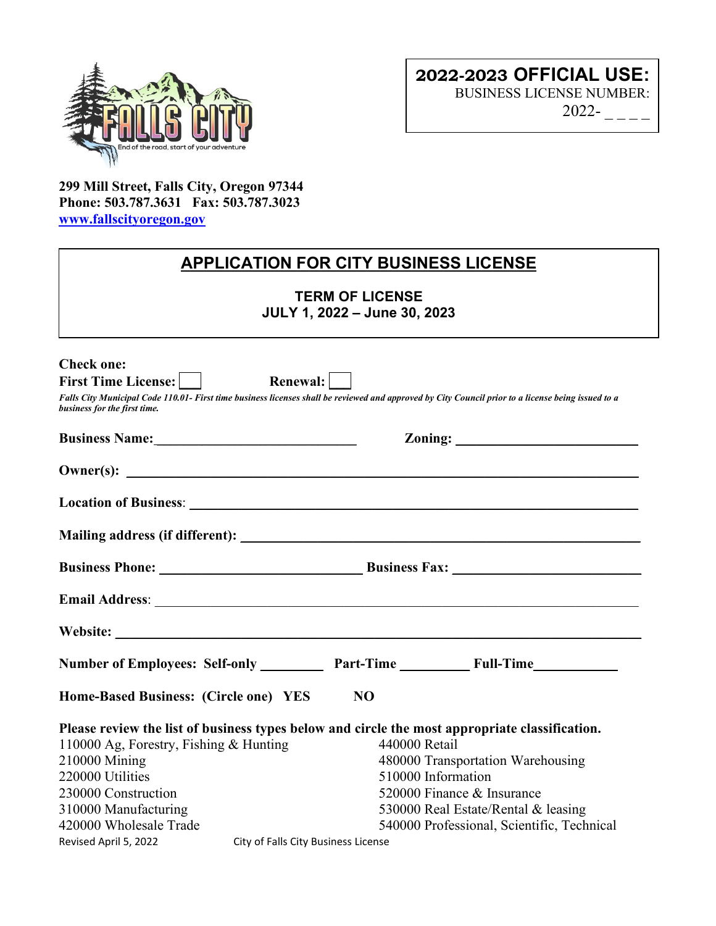

**299 Mill Street, Falls City, Oregon 97344 Phone: 503.787.3631 Fax: 503.787.3023 [www.fallscityoregon.gov](http://www.fallscityoregon.gov/)**

# **APPLICATION FOR CITY BUSINESS LICENSE**

**TERM OF LICENSE JULY 1, 2022 – June 30, 2023** 

| <b>Check one:</b>                                                                                                                                                                  |                                     |                                            |  |
|------------------------------------------------------------------------------------------------------------------------------------------------------------------------------------|-------------------------------------|--------------------------------------------|--|
| <b>First Time License:</b>                                                                                                                                                         | Renewal:                            |                                            |  |
| Falls City Municipal Code 110.01- First time business licenses shall be reviewed and approved by City Council prior to a license being issued to a<br>business for the first time. |                                     |                                            |  |
|                                                                                                                                                                                    |                                     | $\sum_{\text{coning:}}$                    |  |
|                                                                                                                                                                                    |                                     |                                            |  |
|                                                                                                                                                                                    |                                     |                                            |  |
|                                                                                                                                                                                    |                                     |                                            |  |
|                                                                                                                                                                                    |                                     |                                            |  |
|                                                                                                                                                                                    |                                     |                                            |  |
|                                                                                                                                                                                    |                                     |                                            |  |
| Number of Employees: Self-only ___________ Part-Time ____________ Full-Time ________________________                                                                               |                                     |                                            |  |
| Home-Based Business: (Circle one) YES                                                                                                                                              | N <sub>O</sub>                      |                                            |  |
| Please review the list of business types below and circle the most appropriate classification.                                                                                     |                                     |                                            |  |
| 110000 Ag, Forestry, Fishing & Hunting                                                                                                                                             | 440000 Retail                       |                                            |  |
| 210000 Mining                                                                                                                                                                      |                                     | 480000 Transportation Warehousing          |  |
| 220000 Utilities                                                                                                                                                                   |                                     | 510000 Information                         |  |
| 230000 Construction                                                                                                                                                                |                                     | 520000 Finance & Insurance                 |  |
| 310000 Manufacturing                                                                                                                                                               |                                     | 530000 Real Estate/Rental & leasing        |  |
| 420000 Wholesale Trade                                                                                                                                                             |                                     | 540000 Professional, Scientific, Technical |  |
| Revised April 5, 2022                                                                                                                                                              | City of Falls City Business License |                                            |  |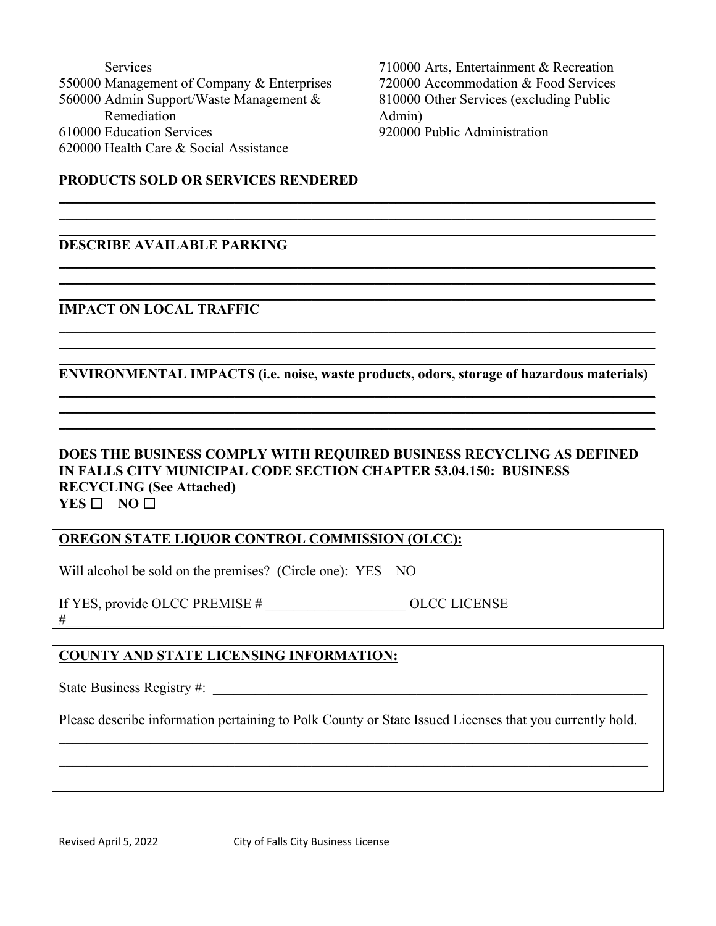| Services                                   |
|--------------------------------------------|
| 550000 Management of Company & Enterprises |
| 560000 Admin Support/Waste Management &    |
| Remediation                                |
| 610000 Education Services                  |
| 620000 Health Care & Social Assistance     |
|                                            |

710000 Arts, Entertainment & Recreation 720000 Accommodation & Food Services 810000 Other Services (excluding Public Admin) 920000 Public Administration

## **PRODUCTS SOLD OR SERVICES RENDERED**

#### \_\_\_\_\_\_\_\_\_\_\_\_\_\_\_\_\_\_\_\_\_\_\_\_\_\_\_\_\_\_\_\_\_\_\_\_\_\_\_\_\_\_\_\_\_\_\_\_\_\_\_\_\_\_\_\_\_\_\_\_\_\_\_\_\_\_\_\_\_\_\_\_\_\_\_\_\_\_\_\_\_\_\_\_\_ **DESCRIBE AVAILABLE PARKING**

#### **IMPACT ON LOCAL TRAFFIC**

\_\_\_\_\_\_\_\_\_\_\_\_\_\_\_\_\_\_\_\_\_\_\_\_\_\_\_\_\_\_\_\_\_\_\_\_\_\_\_\_\_\_\_\_\_\_\_\_\_\_\_\_\_\_\_\_\_\_\_\_\_\_\_\_\_\_\_\_\_\_\_\_\_\_\_\_\_\_\_\_\_\_\_\_\_ **ENVIRONMENTAL IMPACTS (i.e. noise, waste products, odors, storage of hazardous materials)**  \_\_\_\_\_\_\_\_\_\_\_\_\_\_\_\_\_\_\_\_\_\_\_\_\_\_\_\_\_\_\_\_\_\_\_\_\_\_\_\_\_\_\_\_\_\_\_\_\_\_\_\_\_\_\_\_\_\_\_\_\_\_\_\_\_\_\_\_\_\_\_\_\_\_\_\_\_\_\_\_\_\_\_\_\_

\_\_\_\_\_\_\_\_\_\_\_\_\_\_\_\_\_\_\_\_\_\_\_\_\_\_\_\_\_\_\_\_\_\_\_\_\_\_\_\_\_\_\_\_\_\_\_\_\_\_\_\_\_\_\_\_\_\_\_\_\_\_\_\_\_\_\_\_\_\_\_\_\_\_\_\_\_\_\_\_\_\_\_\_\_ \_\_\_\_\_\_\_\_\_\_\_\_\_\_\_\_\_\_\_\_\_\_\_\_\_\_\_\_\_\_\_\_\_\_\_\_\_\_\_\_\_\_\_\_\_\_\_\_\_\_\_\_\_\_\_\_\_\_\_\_\_\_\_\_\_\_\_\_\_\_\_\_\_\_\_\_\_\_\_\_\_\_\_\_\_

\_\_\_\_\_\_\_\_\_\_\_\_\_\_\_\_\_\_\_\_\_\_\_\_\_\_\_\_\_\_\_\_\_\_\_\_\_\_\_\_\_\_\_\_\_\_\_\_\_\_\_\_\_\_\_\_\_\_\_\_\_\_\_\_\_\_\_\_\_\_\_\_\_\_\_\_\_\_\_\_\_\_\_\_\_ \_\_\_\_\_\_\_\_\_\_\_\_\_\_\_\_\_\_\_\_\_\_\_\_\_\_\_\_\_\_\_\_\_\_\_\_\_\_\_\_\_\_\_\_\_\_\_\_\_\_\_\_\_\_\_\_\_\_\_\_\_\_\_\_\_\_\_\_\_\_\_\_\_\_\_\_\_\_\_\_\_\_\_\_\_

 $\_$  , and the set of the set of the set of the set of the set of the set of the set of the set of the set of the set of the set of the set of the set of the set of the set of the set of the set of the set of the set of th \_\_\_\_\_\_\_\_\_\_\_\_\_\_\_\_\_\_\_\_\_\_\_\_\_\_\_\_\_\_\_\_\_\_\_\_\_\_\_\_\_\_\_\_\_\_\_\_\_\_\_\_\_\_\_\_\_\_\_\_\_\_\_\_\_\_\_\_\_\_\_\_\_\_\_\_\_\_\_\_\_\_\_\_\_

\_\_\_\_\_\_\_\_\_\_\_\_\_\_\_\_\_\_\_\_\_\_\_\_\_\_\_\_\_\_\_\_\_\_\_\_\_\_\_\_\_\_\_\_\_\_\_\_\_\_\_\_\_\_\_\_\_\_\_\_\_\_\_\_\_\_\_\_\_\_\_\_\_\_\_\_\_\_\_\_\_\_\_\_\_  $\_$  , and the set of the set of the set of the set of the set of the set of the set of the set of the set of the set of the set of the set of the set of the set of the set of the set of the set of the set of the set of th  $\_$  , and the set of the set of the set of the set of the set of the set of the set of the set of the set of the set of the set of the set of the set of the set of the set of the set of the set of the set of the set of th

# **DOES THE BUSINESS COMPLY WITH REQUIRED BUSINESS RECYCLING AS DEFINED IN FALLS CITY MUNICIPAL CODE SECTION CHAPTER 53.04.150: BUSINESS RECYCLING (See Attached) YES** □ **NO** □

### **OREGON STATE LIQUOR CONTROL COMMISSION (OLCC):**

Will alcohol be sold on the premises? (Circle one): YES NO

If YES, provide OLCC PREMISE # \_\_\_\_\_\_\_\_\_\_\_\_\_\_\_\_\_\_\_\_ OLCC LICENSE #\_\_\_\_\_\_\_\_\_\_\_\_\_\_\_\_\_\_\_\_\_\_\_\_\_

## **COUNTY AND STATE LICENSING INFORMATION:**

State Business Registry #: \_\_\_\_\_\_\_\_\_\_\_\_\_\_\_\_\_\_\_\_\_\_\_\_\_\_\_\_\_\_\_\_\_\_\_\_\_\_\_\_\_\_\_\_\_\_\_\_\_\_\_\_\_\_\_\_\_\_\_\_\_\_

Please describe information pertaining to Polk County or State Issued Licenses that you currently hold.

\_\_\_\_\_\_\_\_\_\_\_\_\_\_\_\_\_\_\_\_\_\_\_\_\_\_\_\_\_\_\_\_\_\_\_\_\_\_\_\_\_\_\_\_\_\_\_\_\_\_\_\_\_\_\_\_\_\_\_\_\_\_\_\_\_\_\_\_\_\_\_\_\_\_\_\_\_\_\_\_\_\_\_\_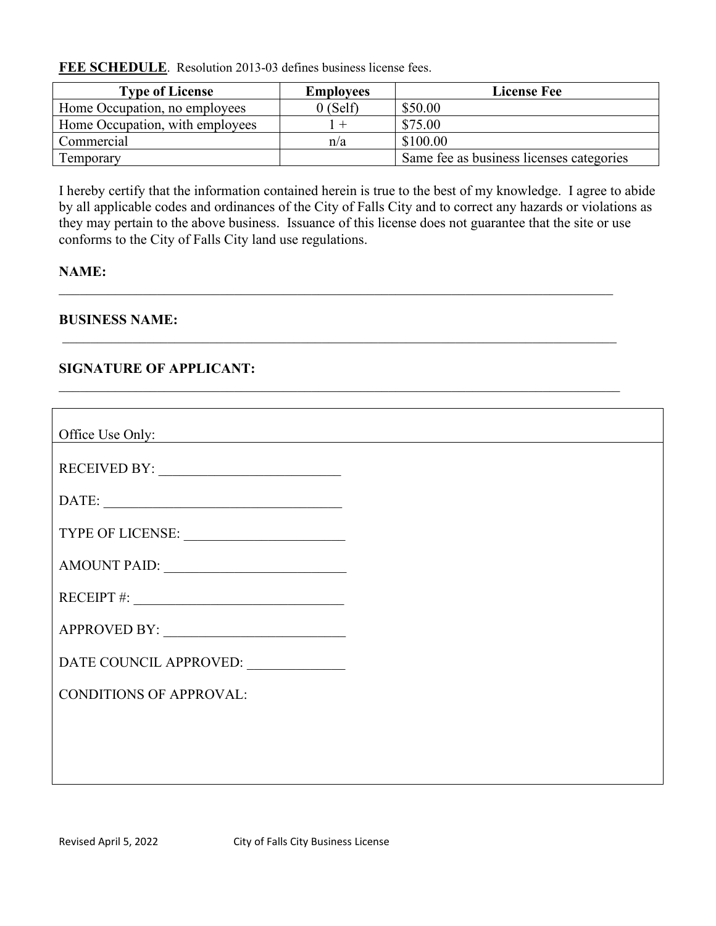**FEE SCHEDULE**. Resolution 2013-03 defines business license fees.

| <b>Type of License</b>          | <b>Employees</b> | <b>License Fee</b>                       |
|---------------------------------|------------------|------------------------------------------|
| Home Occupation, no employees   | $0$ (Self)       | \$50.00                                  |
| Home Occupation, with employees |                  | \$75.00                                  |
| Commercial                      | n/a              | \$100.00                                 |
| Temporary                       |                  | Same fee as business licenses categories |

I hereby certify that the information contained herein is true to the best of my knowledge. I agree to abide by all applicable codes and ordinances of the City of Falls City and to correct any hazards or violations as they may pertain to the above business. Issuance of this license does not guarantee that the site or use conforms to the City of Falls City land use regulations.

 $\_$  , and the set of the set of the set of the set of the set of the set of the set of the set of the set of the set of the set of the set of the set of the set of the set of the set of the set of the set of the set of th

 $\frac{1}{2}$  ,  $\frac{1}{2}$  ,  $\frac{1}{2}$  ,  $\frac{1}{2}$  ,  $\frac{1}{2}$  ,  $\frac{1}{2}$  ,  $\frac{1}{2}$  ,  $\frac{1}{2}$  ,  $\frac{1}{2}$  ,  $\frac{1}{2}$  ,  $\frac{1}{2}$  ,  $\frac{1}{2}$  ,  $\frac{1}{2}$  ,  $\frac{1}{2}$  ,  $\frac{1}{2}$  ,  $\frac{1}{2}$  ,  $\frac{1}{2}$  ,  $\frac{1}{2}$  ,  $\frac{1$ 

# **NAME:**

**BUSINESS NAME:**

# **SIGNATURE OF APPLICANT:**

| Office Use Only:               |  |
|--------------------------------|--|
|                                |  |
| DATE:                          |  |
|                                |  |
|                                |  |
| RECEIPT #: $\qquad \qquad$     |  |
|                                |  |
| DATE COUNCIL APPROVED:         |  |
| <b>CONDITIONS OF APPROVAL:</b> |  |
|                                |  |
|                                |  |
|                                |  |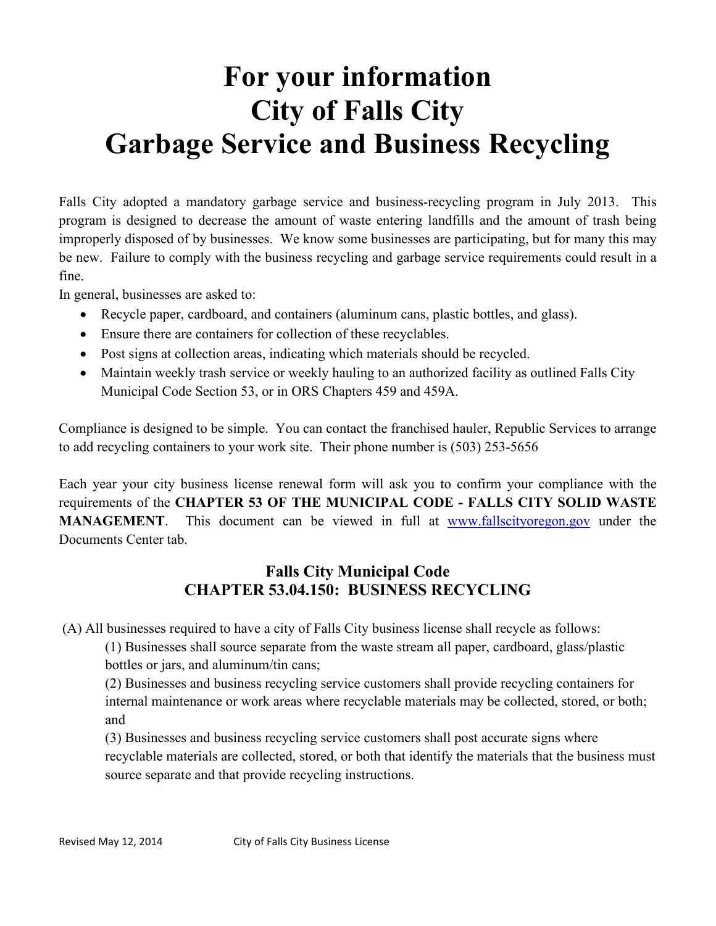# **For your information City of Falls City Garbage Service and Business Recycling**

Falls City adopted a mandatory garbage service and business-recycling program in July 2013. This program is designed to decrease the amount of waste entering landfills and the amount of trash being improperly disposed of by businesses. We know some businesses are participating, but for many this may be new. Failure to comply with the business recycling and garbage service requirements could result in a fine.

In general, businesses are asked to:

- Recycle paper, cardboard, and containers (aluminum cans, plastic bottles, and glass).
- Ensure there are containers for collection of these recyclables.
- Post signs at collection areas, indicating which materials should be recycled.
- Maintain weekly trash service or weekly hauling to an authorized facility as outlined Falls City Municipal Code Section 53, or in ORS Chapters 459 and 459A.

Compliance is designed to be simple. You can contact the franchised hauler, Republic Services to arrange to add recycling containers to your work site. Their phone number is (503) 253-5656

Each year your city business license renewal form will ask you to confirm your compliance with the requirements of the **CHAPTER 53 OF THE MUNICIPAL CODE - FALLS CITY SOLID WASTE MANAGEMENT**. This document can be viewed in full at [www.fallscityoregon.gov](http://www.fallscityoregon.gov/) under the Documents Center tab.

# **Falls City Municipal Code CHAPTER 53.04.150: BUSINESS RECYCLING**

(A) All businesses required to have a city of Falls City business license shall recycle as follows:

(1) Businesses shall source separate from the waste stream all paper, cardboard, glass/plastic bottles or jars, and aluminum/tin cans;

(2) Businesses and business recycling service customers shall provide recycling containers for internal maintenance or work areas where recyclable materials may be collected, stored, or both; and

(3) Businesses and business recycling service customers shall post accurate signs where recyclable materials are collected, stored, or both that identify the materials that the business must source separate and that provide recycling instructions.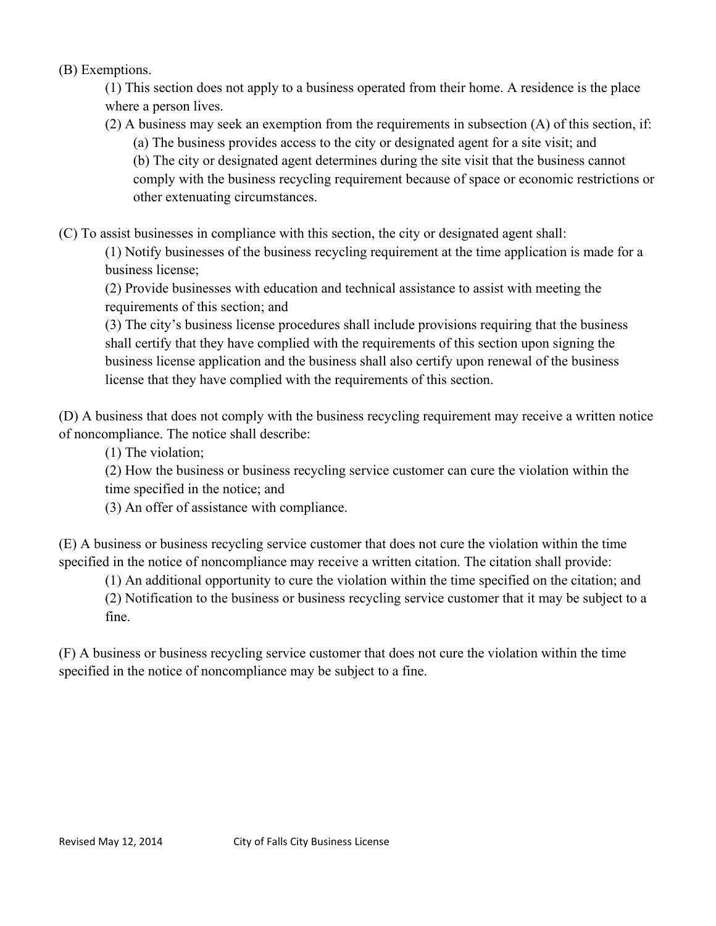(B) Exemptions.

(1) This section does not apply to a business operated from their home. A residence is the place where a person lives.

(2) A business may seek an exemption from the requirements in subsection (A) of this section, if:

(a) The business provides access to the city or designated agent for a site visit; and

(b) The city or designated agent determines during the site visit that the business cannot comply with the business recycling requirement because of space or economic restrictions or other extenuating circumstances.

(C) To assist businesses in compliance with this section, the city or designated agent shall:

(1) Notify businesses of the business recycling requirement at the time application is made for a business license;

(2) Provide businesses with education and technical assistance to assist with meeting the requirements of this section; and

(3) The city's business license procedures shall include provisions requiring that the business shall certify that they have complied with the requirements of this section upon signing the business license application and the business shall also certify upon renewal of the business license that they have complied with the requirements of this section.

(D) A business that does not comply with the business recycling requirement may receive a written notice of noncompliance. The notice shall describe:

(1) The violation;

(2) How the business or business recycling service customer can cure the violation within the time specified in the notice; and

(3) An offer of assistance with compliance.

(E) A business or business recycling service customer that does not cure the violation within the time specified in the notice of noncompliance may receive a written citation. The citation shall provide:

(1) An additional opportunity to cure the violation within the time specified on the citation; and

(2) Notification to the business or business recycling service customer that it may be subject to a fine.

(F) A business or business recycling service customer that does not cure the violation within the time specified in the notice of noncompliance may be subject to a fine.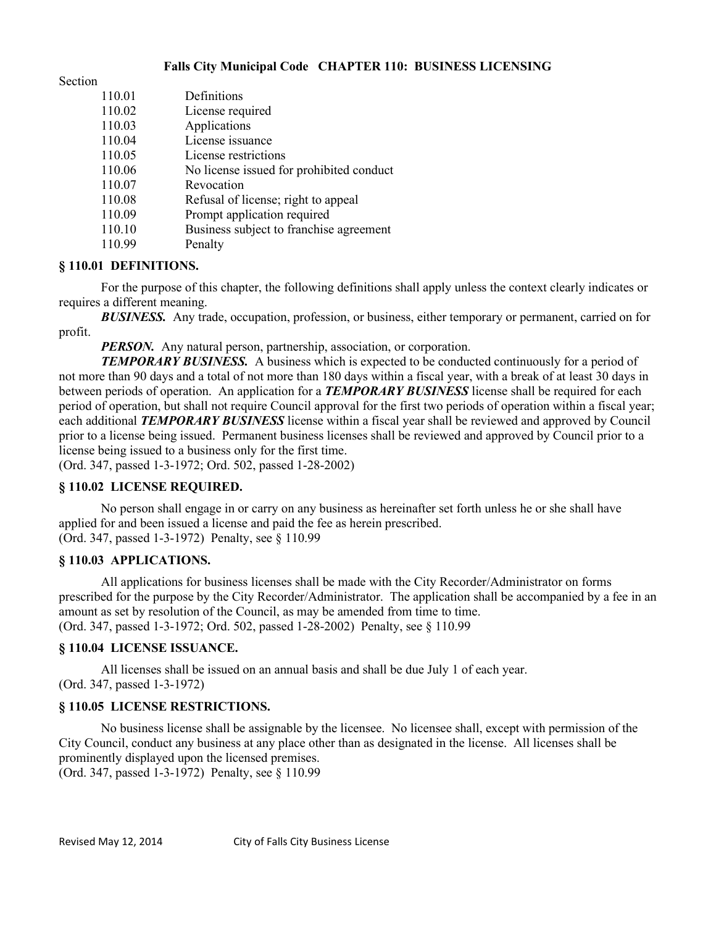#### **Falls City Municipal Code CHAPTER 110: BUSINESS LICENSING**

Section

| 110.01 | Definitions                              |
|--------|------------------------------------------|
| 110.02 | License required                         |
| 110.03 | Applications                             |
| 110.04 | License issuance                         |
| 110.05 | License restrictions                     |
| 110.06 | No license issued for prohibited conduct |
| 110.07 | Revocation                               |
| 110.08 | Refusal of license; right to appeal      |
| 110.09 | Prompt application required              |
| 110.10 | Business subject to franchise agreement  |
| 110.99 | Penalty                                  |

#### **§ 110.01 DEFINITIONS.**

For the purpose of this chapter, the following definitions shall apply unless the context clearly indicates or requires a different meaning.

*BUSINESS.* Any trade, occupation, profession, or business, either temporary or permanent, carried on for profit.

*PERSON.* Any natural person, partnership, association, or corporation.

**TEMPORARY BUSINESS.** A business which is expected to be conducted continuously for a period of not more than 90 days and a total of not more than 180 days within a fiscal year, with a break of at least 30 days in between periods of operation. An application for a *TEMPORARY BUSINESS* license shall be required for each period of operation, but shall not require Council approval for the first two periods of operation within a fiscal year; each additional *TEMPORARY BUSINESS* license within a fiscal year shall be reviewed and approved by Council prior to a license being issued. Permanent business licenses shall be reviewed and approved by Council prior to a license being issued to a business only for the first time.

(Ord. 347, passed 1-3-1972; Ord. 502, passed 1-28-2002)

#### **§ 110.02 LICENSE REQUIRED.**

No person shall engage in or carry on any business as hereinafter set forth unless he or she shall have applied for and been issued a license and paid the fee as herein prescribed. (Ord. 347, passed 1-3-1972) Penalty, see § 110.99

#### **§ 110.03 APPLICATIONS.**

All applications for business licenses shall be made with the City Recorder/Administrator on forms prescribed for the purpose by the City Recorder/Administrator. The application shall be accompanied by a fee in an amount as set by resolution of the Council, as may be amended from time to time. (Ord. 347, passed 1-3-1972; Ord. 502, passed 1-28-2002) Penalty, see § 110.99

#### **§ 110.04 LICENSE ISSUANCE.**

All licenses shall be issued on an annual basis and shall be due July 1 of each year. (Ord. 347, passed 1-3-1972)

#### **§ 110.05 LICENSE RESTRICTIONS.**

No business license shall be assignable by the licensee. No licensee shall, except with permission of the City Council, conduct any business at any place other than as designated in the license. All licenses shall be prominently displayed upon the licensed premises. (Ord. 347, passed 1-3-1972) Penalty, see § 110.99